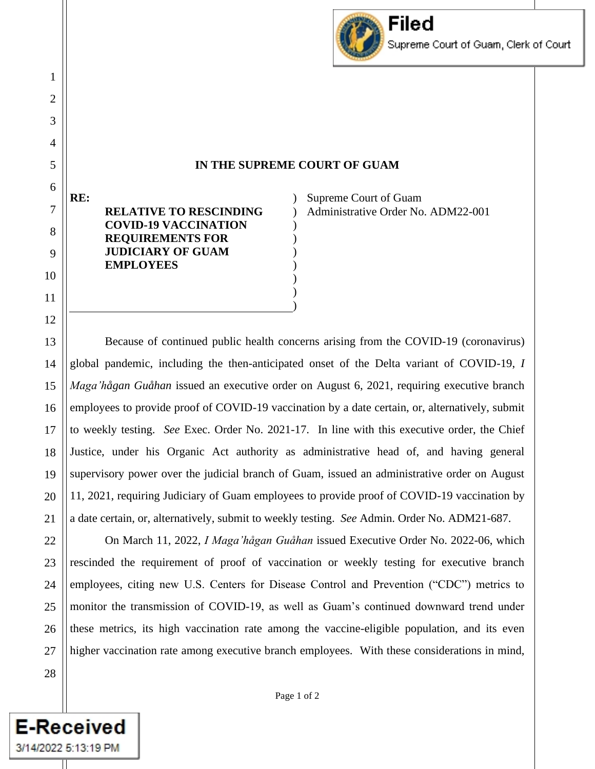

## **IN THE SUPREME COURT OF GUAM**

 $\mathcal{L}$ ) ) ) ) ) ) ) )

**RE: RELATIVE TO RESCINDING COVID-19 VACCINATION REQUIREMENTS FOR JUDICIARY OF GUAM EMPLOYEES**

Supreme Court of Guam Administrative Order No. ADM22-001

Because of continued public health concerns arising from the COVID-19 (coronavirus) global pandemic, including the then-anticipated onset of the Delta variant of COVID-19, *I Maga'hågan Guåhan* issued an executive order on August 6, 2021, requiring executive branch employees to provide proof of COVID-19 vaccination by a date certain, or, alternatively, submit to weekly testing. *See* Exec. Order No. 2021-17. In line with this executive order, the Chief Justice, under his Organic Act authority as administrative head of, and having general supervisory power over the judicial branch of Guam, issued an administrative order on August 11, 2021, requiring Judiciary of Guam employees to provide proof of COVID-19 vaccination by a date certain, or, alternatively, submit to weekly testing. *See* Admin. Order No. ADM21-687.

On March 11, 2022, *I Maga'hågan Guåhan* issued Executive Order No. 2022-06, which rescinded the requirement of proof of vaccination or weekly testing for executive branch employees, citing new U.S. Centers for Disease Control and Prevention ("CDC") metrics to monitor the transmission of COVID-19, as well as Guam's continued downward trend under these metrics, its high vaccination rate among the vaccine-eligible population, and its even higher vaccination rate among executive branch employees. With these considerations in mind,

**E-Received** 

3/14/2022 5:13:19 PM

1

2

3

4

Page 1 of 2